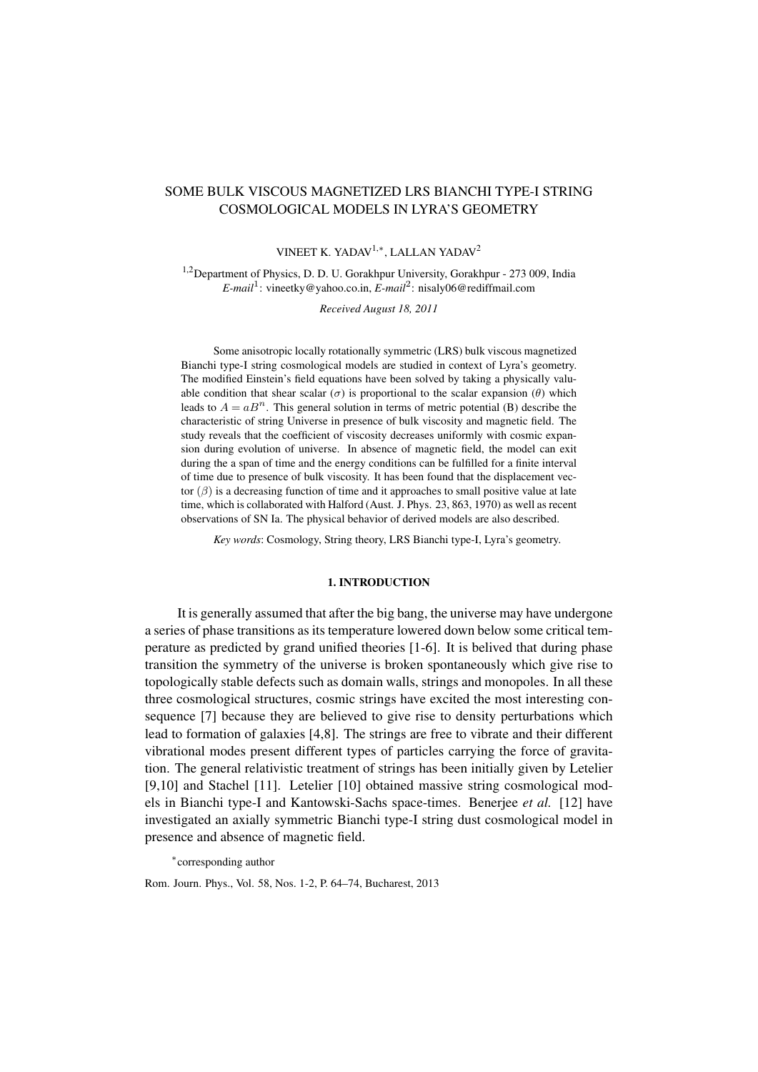# SOME BULK VISCOUS MAGNETIZED LRS BIANCHI TYPE-I STRING COSMOLOGICAL MODELS IN LYRA'S GEOMETRY

# VINEET K. YADAV1,*<sup>∗</sup>* , LALLAN YADAV<sup>2</sup>

1,2Department of Physics, D. D. U. Gorakhpur University, Gorakhpur - 273 009, India *E-mail*<sup>1</sup> : vineetky@yahoo.co.in, *E-mail*<sup>2</sup> : nisaly06@rediffmail.com

*Received August 18, 2011*

Some anisotropic locally rotationally symmetric (LRS) bulk viscous magnetized Bianchi type-I string cosmological models are studied in context of Lyra's geometry. The modified Einstein's field equations have been solved by taking a physically valuable condition that shear scalar ( $\sigma$ ) is proportional to the scalar expansion ( $\theta$ ) which leads to  $A = aB<sup>n</sup>$ . This general solution in terms of metric potential (B) describe the characteristic of string Universe in presence of bulk viscosity and magnetic field. The study reveals that the coefficient of viscosity decreases uniformly with cosmic expansion during evolution of universe. In absence of magnetic field, the model can exit during the a span of time and the energy conditions can be fulfilled for a finite interval of time due to presence of bulk viscosity. It has been found that the displacement vector  $(\beta)$  is a decreasing function of time and it approaches to small positive value at late time, which is collaborated with Halford (Aust. J. Phys. 23, 863, 1970) as well as recent observations of SN Ia. The physical behavior of derived models are also described.

*Key words*: Cosmology, String theory, LRS Bianchi type-I, Lyra's geometry.

#### 1. INTRODUCTION

It is generally assumed that after the big bang, the universe may have undergone a series of phase transitions as its temperature lowered down below some critical temperature as predicted by grand unified theories [1-6]. It is belived that during phase transition the symmetry of the universe is broken spontaneously which give rise to topologically stable defects such as domain walls, strings and monopoles. In all these three cosmological structures, cosmic strings have excited the most interesting consequence [7] because they are believed to give rise to density perturbations which lead to formation of galaxies [4,8]. The strings are free to vibrate and their different vibrational modes present different types of particles carrying the force of gravitation. The general relativistic treatment of strings has been initially given by Letelier [9,10] and Stachel [11]. Letelier [10] obtained massive string cosmological models in Bianchi type-I and Kantowski-Sachs space-times. Benerjee *et al.* [12] have investigated an axially symmetric Bianchi type-I string dust cosmological model in presence and absence of magnetic field.

*∗* corresponding author

Rom. Journ. Phys., Vol. 58, Nos. 1-2, P. 64–74, Bucharest, 2013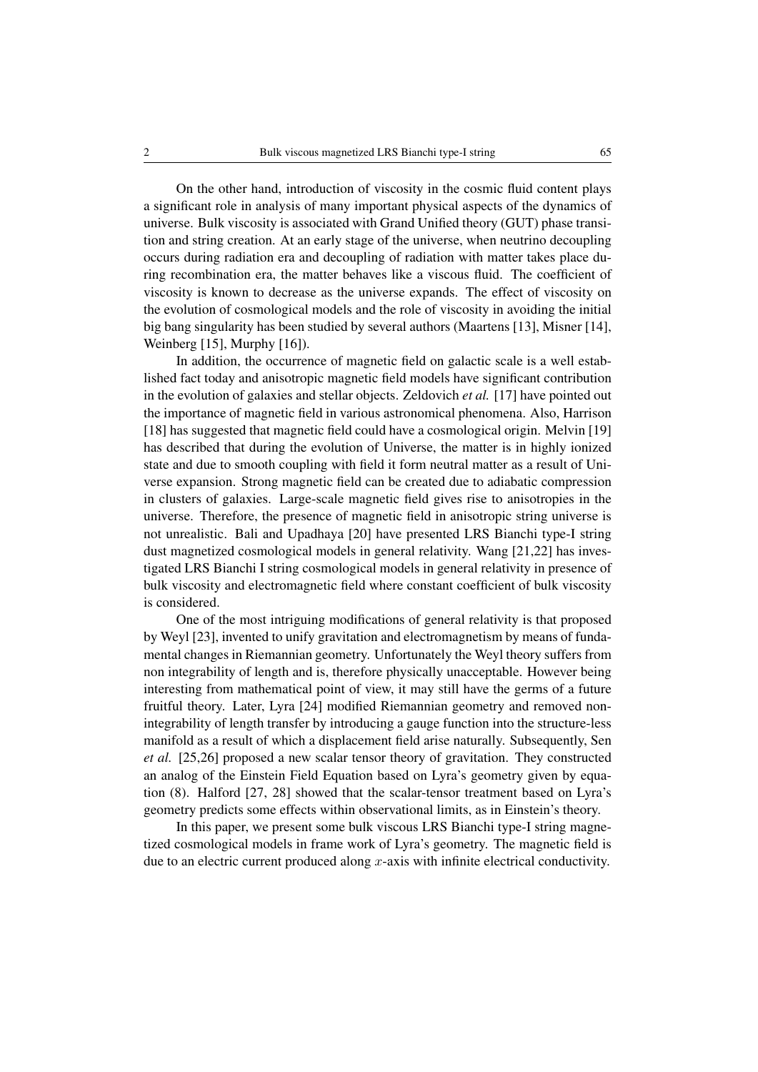On the other hand, introduction of viscosity in the cosmic fluid content plays a significant role in analysis of many important physical aspects of the dynamics of universe. Bulk viscosity is associated with Grand Unified theory (GUT) phase transition and string creation. At an early stage of the universe, when neutrino decoupling occurs during radiation era and decoupling of radiation with matter takes place during recombination era, the matter behaves like a viscous fluid. The coefficient of viscosity is known to decrease as the universe expands. The effect of viscosity on the evolution of cosmological models and the role of viscosity in avoiding the initial big bang singularity has been studied by several authors (Maartens [13], Misner [14], Weinberg [15], Murphy [16]).

In addition, the occurrence of magnetic field on galactic scale is a well established fact today and anisotropic magnetic field models have significant contribution in the evolution of galaxies and stellar objects. Zeldovich *et al.* [17] have pointed out the importance of magnetic field in various astronomical phenomena. Also, Harrison [18] has suggested that magnetic field could have a cosmological origin. Melvin [19] has described that during the evolution of Universe, the matter is in highly ionized state and due to smooth coupling with field it form neutral matter as a result of Universe expansion. Strong magnetic field can be created due to adiabatic compression in clusters of galaxies. Large-scale magnetic field gives rise to anisotropies in the universe. Therefore, the presence of magnetic field in anisotropic string universe is not unrealistic. Bali and Upadhaya [20] have presented LRS Bianchi type-I string dust magnetized cosmological models in general relativity. Wang [21,22] has investigated LRS Bianchi I string cosmological models in general relativity in presence of bulk viscosity and electromagnetic field where constant coefficient of bulk viscosity is considered.

One of the most intriguing modifications of general relativity is that proposed by Weyl [23], invented to unify gravitation and electromagnetism by means of fundamental changes in Riemannian geometry. Unfortunately the Weyl theory suffers from non integrability of length and is, therefore physically unacceptable. However being interesting from mathematical point of view, it may still have the germs of a future fruitful theory. Later, Lyra [24] modified Riemannian geometry and removed nonintegrability of length transfer by introducing a gauge function into the structure-less manifold as a result of which a displacement field arise naturally. Subsequently, Sen *et al.* [25,26] proposed a new scalar tensor theory of gravitation. They constructed an analog of the Einstein Field Equation based on Lyra's geometry given by equation (8). Halford [27, 28] showed that the scalar-tensor treatment based on Lyra's geometry predicts some effects within observational limits, as in Einstein's theory.

In this paper, we present some bulk viscous LRS Bianchi type-I string magnetized cosmological models in frame work of Lyra's geometry. The magnetic field is due to an electric current produced along *x*-axis with infinite electrical conductivity.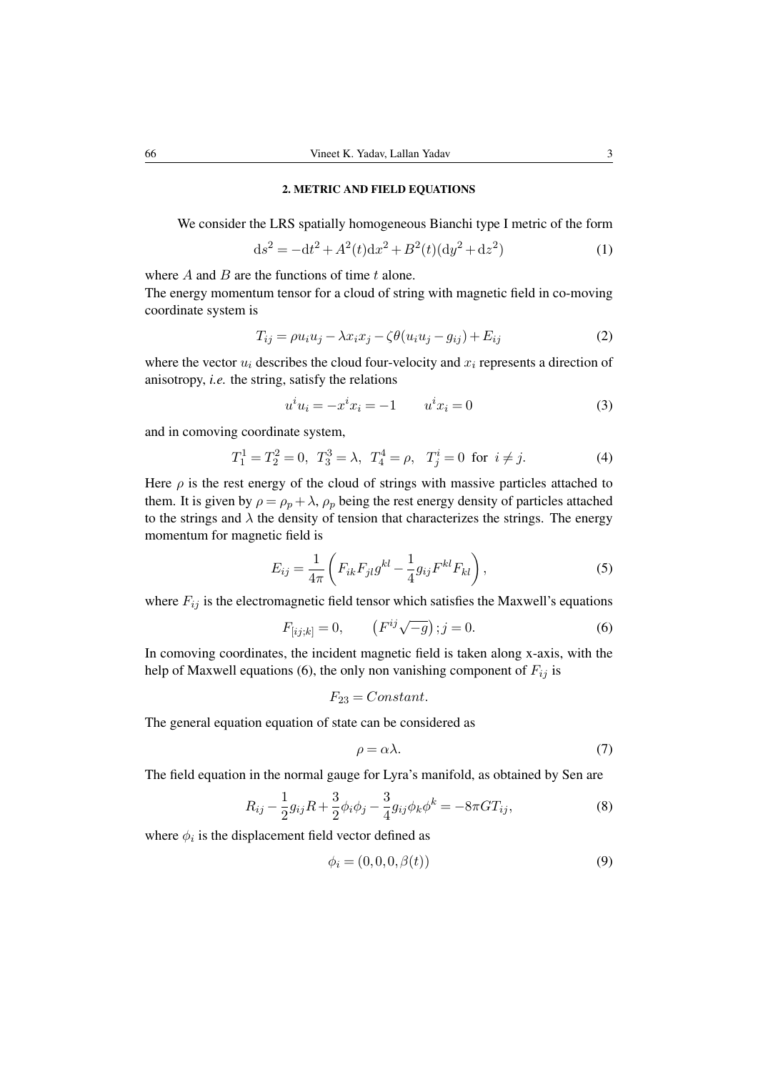#### 2. METRIC AND FIELD EQUATIONS

We consider the LRS spatially homogeneous Bianchi type I metric of the form

$$
ds^{2} = -dt^{2} + A^{2}(t)dx^{2} + B^{2}(t)(dy^{2} + dz^{2})
$$
\n(1)

where *A* and *B* are the functions of time *t* alone.

The energy momentum tensor for a cloud of string with magnetic field in co-moving coordinate system is

$$
T_{ij} = \rho u_i u_j - \lambda x_i x_j - \zeta \theta (u_i u_j - g_{ij}) + E_{ij}
$$
\n(2)

where the vector  $u_i$  describes the cloud four-velocity and  $x_i$  represents a direction of anisotropy, *i.e.* the string, satisfy the relations

$$
u^i u_i = -x^i x_i = -1 \qquad u^i x_i = 0 \tag{3}
$$

and in comoving coordinate system,

$$
T_1^1 = T_2^2 = 0, \ T_3^3 = \lambda, \ T_4^4 = \rho, \ T_j^i = 0 \ \text{for} \ i \neq j. \tag{4}
$$

Here  $\rho$  is the rest energy of the cloud of strings with massive particles attached to them. It is given by  $\rho = \rho_p + \lambda$ ,  $\rho_p$  being the rest energy density of particles attached to the strings and  $\lambda$  the density of tension that characterizes the strings. The energy momentum for magnetic field is

$$
E_{ij} = \frac{1}{4\pi} \left( F_{ik} F_{jl} g^{kl} - \frac{1}{4} g_{ij} F^{kl} F_{kl} \right),\tag{5}
$$

where  $F_{ij}$  is the electromagnetic field tensor which satisfies the Maxwell's equations

$$
F_{[ij;k]} = 0, \qquad (F^{ij}\sqrt{-g}) \, ; j = 0. \tag{6}
$$

In comoving coordinates, the incident magnetic field is taken along x-axis, with the help of Maxwell equations (6), the only non vanishing component of  $F_{ij}$  is

$$
F_{23}=Constant.
$$

The general equation equation of state can be considered as

$$
\rho = \alpha \lambda. \tag{7}
$$

The field equation in the normal gauge for Lyra's manifold, as obtained by Sen are

$$
R_{ij} - \frac{1}{2}g_{ij}R + \frac{3}{2}\phi_i\phi_j - \frac{3}{4}g_{ij}\phi_k\phi^k = -8\pi GT_{ij},\tag{8}
$$

where  $\phi_i$  is the displacement field vector defined as

$$
\phi_i = (0, 0, 0, \beta(t))
$$
\n(9)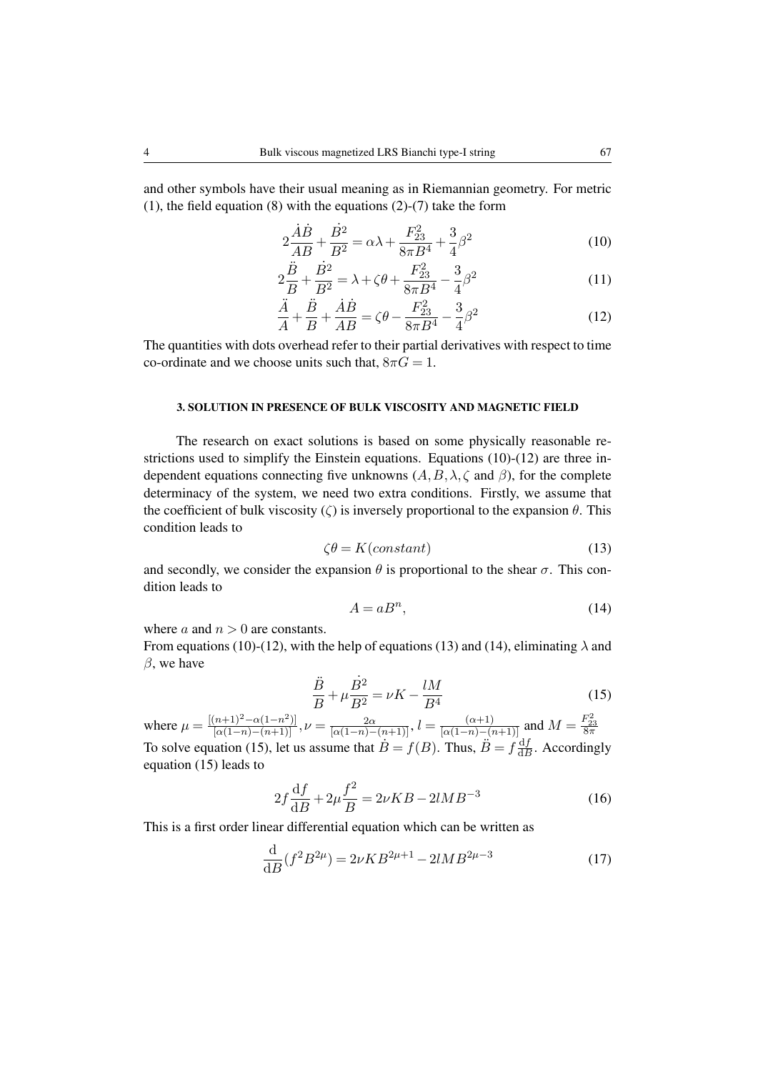and other symbols have their usual meaning as in Riemannian geometry. For metric (1), the field equation (8) with the equations (2)-(7) take the form

$$
2\frac{\dot{A}\dot{B}}{AB} + \frac{\dot{B}^2}{B^2} = \alpha\lambda + \frac{F_{23}^2}{8\pi B^4} + \frac{3}{4}\beta^2\tag{10}
$$

$$
2\frac{\ddot{B}}{B} + \frac{\dot{B}^2}{B^2} = \lambda + \zeta\theta + \frac{F_{23}^2}{8\pi B^4} - \frac{3}{4}\beta^2
$$
 (11)

$$
\frac{\ddot{A}}{A} + \frac{\ddot{B}}{B} + \frac{\dot{A}\dot{B}}{AB} = \zeta \theta - \frac{F_{23}^2}{8\pi B^4} - \frac{3}{4}\beta^2
$$
 (12)

The quantities with dots overhead refer to their partial derivatives with respect to time co-ordinate and we choose units such that,  $8\pi G = 1$ .

### 3. SOLUTION IN PRESENCE OF BULK VISCOSITY AND MAGNETIC FIELD

The research on exact solutions is based on some physically reasonable restrictions used to simplify the Einstein equations. Equations (10)-(12) are three independent equations connecting five unknowns  $(A, B, \lambda, \zeta \text{ and } \beta)$ , for the complete determinacy of the system, we need two extra conditions. Firstly, we assume that the coefficient of bulk viscosity (*ζ*) is inversely proportional to the expansion *θ*. This condition leads to

$$
\zeta \theta = K(constant) \tag{13}
$$

and secondly, we consider the expansion  $\theta$  is proportional to the shear  $\sigma$ . This condition leads to

$$
A = aB^n,\tag{14}
$$

where  $a$  and  $n > 0$  are constants.

From equations (10)-(12), with the help of equations (13) and (14), eliminating  $\lambda$  and *β*, we have

$$
\frac{\ddot{B}}{B} + \mu \frac{\dot{B}^2}{B^2} = \nu K - \frac{lM}{B^4}
$$
 (15)

where  $\mu = \frac{[(n+1)^2 - \alpha(1-n^2)]}{[\alpha(1-n) - (n+1)]}, \nu = \frac{2\alpha}{[\alpha(1-n) - (n+1)]}, l = \frac{(\alpha+1)}{[\alpha(1-n) - (n+1)]}$  and  $M = \frac{F_{23}^2}{8\pi}$ To solve equation (15), let us assume that  $\dot{B} = f(B)$ . Thus,  $\ddot{B} = f\frac{df}{dE}$  $\frac{dJ}{dB}$ . Accordingly equation (15) leads to

$$
2f\frac{\mathrm{d}f}{\mathrm{d}B} + 2\mu\frac{f^2}{B} = 2\nu KB - 2lMB^{-3}
$$
 (16)

This is a first order linear differential equation which can be written as

$$
\frac{\mathrm{d}}{\mathrm{d}B}(f^2B^{2\mu}) = 2\nu KB^{2\mu+1} - 2lMB^{2\mu-3} \tag{17}
$$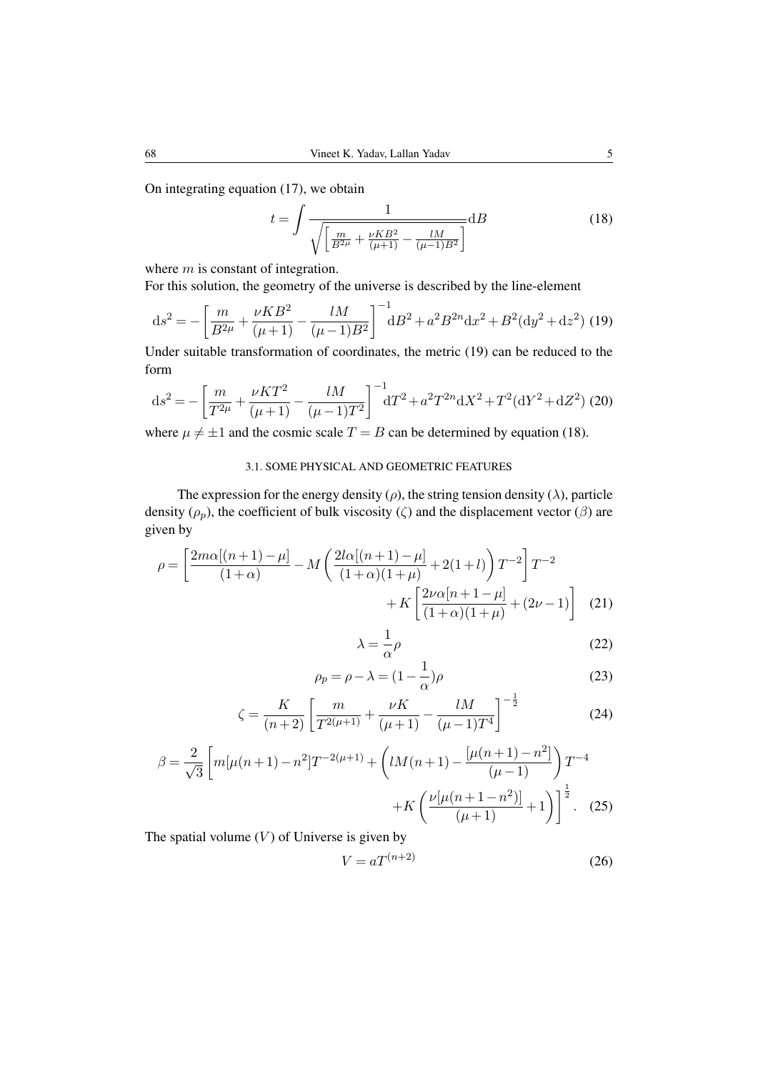On integrating equation (17), we obtain

$$
t = \int \frac{1}{\sqrt{\left[\frac{m}{B^2\mu} + \frac{\nu KB^2}{(\mu + 1)} - \frac{lM}{(\mu - 1)B^2}\right]}} dB
$$
(18)

where *m* is constant of integration.

For this solution, the geometry of the universe is described by the line-element

$$
ds^{2} = -\left[\frac{m}{B^{2\mu}} + \frac{\nu KB^{2}}{(\mu + 1)} - \frac{lM}{(\mu - 1)B^{2}}\right]^{-1}dB^{2} + a^{2}B^{2n}dx^{2} + B^{2}(dy^{2} + dz^{2})
$$
(19)

Under suitable transformation of coordinates, the metric (19) can be reduced to the form

$$
ds^{2} = -\left[\frac{m}{T^{2\mu}} + \frac{\nu KT^{2}}{(\mu + 1)} - \frac{lM}{(\mu - 1)T^{2}}\right]^{-1} dT^{2} + a^{2}T^{2n}dX^{2} + T^{2}(dY^{2} + dZ^{2})
$$
 (20)

where  $\mu \neq \pm 1$  and the cosmic scale  $T = B$  can be determined by equation (18).

# 3.1. SOME PHYSICAL AND GEOMETRIC FEATURES

The expression for the energy density  $(\rho)$ , the string tension density  $(\lambda)$ , particle density ( $\rho_p$ ), the coefficient of bulk viscosity ( $\zeta$ ) and the displacement vector ( $\beta$ ) are given by

$$
\rho = \left[ \frac{2m\alpha[(n+1)-\mu]}{(1+\alpha)} - M \left( \frac{2l\alpha[(n+1)-\mu]}{(1+\alpha)(1+\mu)} + 2(1+l) \right) T^{-2} \right] T^{-2} + K \left[ \frac{2\nu\alpha[n+1-\mu]}{(1+\alpha)(1+\mu)} + (2\nu - 1) \right]
$$
(21)

$$
\lambda = \frac{1}{\alpha} \rho \tag{22}
$$

$$
\rho_p = \rho - \lambda = (1 - \frac{1}{\alpha})\rho \tag{23}
$$

$$
\zeta = \frac{K}{(n+2)} \left[ \frac{m}{T^{2(\mu+1)}} + \frac{\nu K}{(\mu+1)} - \frac{lM}{(\mu-1)T^4} \right]^{-\frac{1}{2}} \tag{24}
$$

$$
\beta = \frac{2}{\sqrt{3}} \left[ m[\mu(n+1) - n^2] T^{-2(\mu+1)} + \left( lM(n+1) - \frac{[\mu(n+1) - n^2]}{(\mu - 1)} \right) T^{-4} + K \left( \frac{\nu[\mu(n+1 - n^2)]}{(\mu + 1)} + 1 \right) \right]^{\frac{1}{2}}.
$$
 (25)

The spatial volume  $(V)$  of Universe is given by

$$
V = aT^{(n+2)}\tag{26}
$$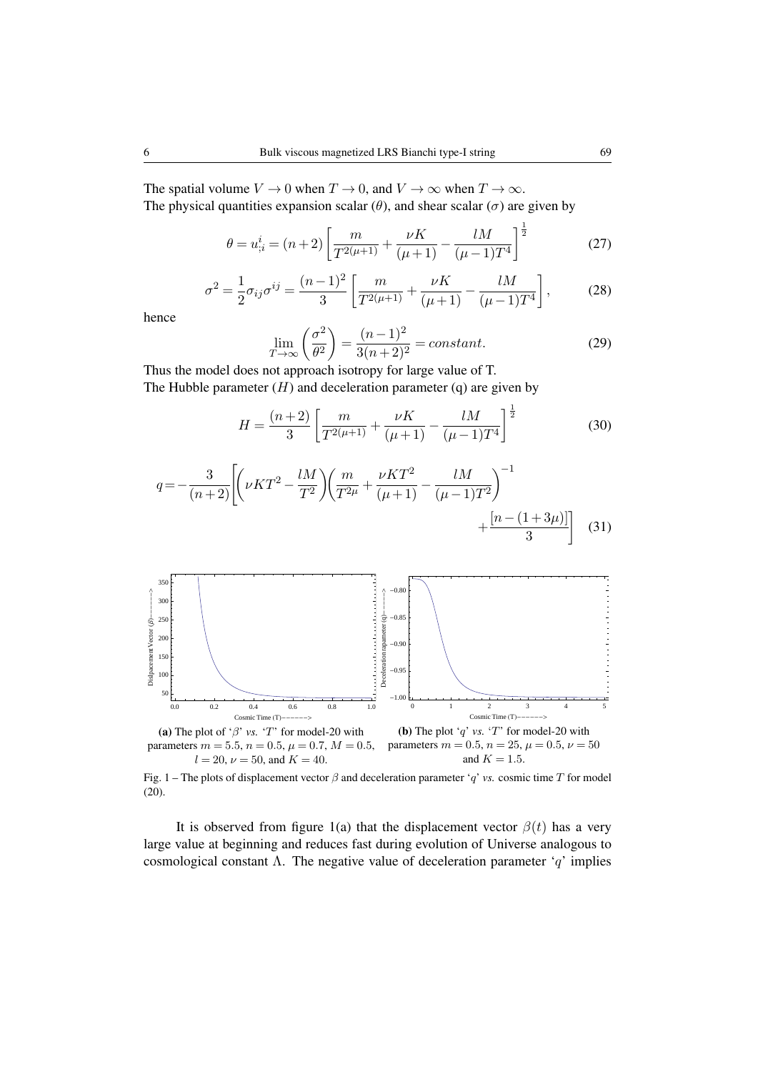The spatial volume  $V \to 0$  when  $T \to 0$ , and  $V \to \infty$  when  $T \to \infty$ . The physical quantities expansion scalar  $(\theta)$ , and shear scalar  $(\sigma)$  are given by

$$
\theta = u_{;i}^{i} = (n+2) \left[ \frac{m}{T^{2(\mu+1)}} + \frac{\nu K}{(\mu+1)} - \frac{lM}{(\mu-1)T^{4}} \right]^{\frac{1}{2}}
$$
(27)

$$
\sigma^2 = \frac{1}{2}\sigma_{ij}\sigma^{ij} = \frac{(n-1)^2}{3} \left[ \frac{m}{T^{2(\mu+1)}} + \frac{\nu K}{(\mu+1)} - \frac{lM}{(\mu-1)T^4} \right],\tag{28}
$$

hence

$$
\lim_{T \to \infty} \left( \frac{\sigma^2}{\theta^2} \right) = \frac{(n-1)^2}{3(n+2)^2} = constant.
$$
\n(29)

Thus the model does not approach isotropy for large value of T. The Hubble parameter  $(H)$  and deceleration parameter  $(q)$  are given by

$$
H = \frac{(n+2)}{3} \left[ \frac{m}{T^{2(\mu+1)}} + \frac{\nu K}{(\mu+1)} - \frac{lM}{(\mu-1)T^4} \right]^{\frac{1}{2}}
$$
(30)

$$
q = -\frac{3}{(n+2)} \left[ \left( \nu KT^2 - \frac{lM}{T^2} \right) \left( \frac{m}{T^{2\mu}} + \frac{\nu KT^2}{(\mu+1)} - \frac{lM}{(\mu-1)T^2} \right)^{-1} + \frac{\left[ n - (1+3\mu) \right]}{3} \right] \tag{31}
$$



Fig. 1 – The plots of displacement vector *β* and deceleration parameter '*q*' *vs.* cosmic time *T* for model (20).

It is observed from figure 1(a) that the displacement vector  $\beta(t)$  has a very large value at beginning and reduces fast during evolution of Universe analogous to cosmological constant Λ. The negative value of deceleration parameter '*q*' implies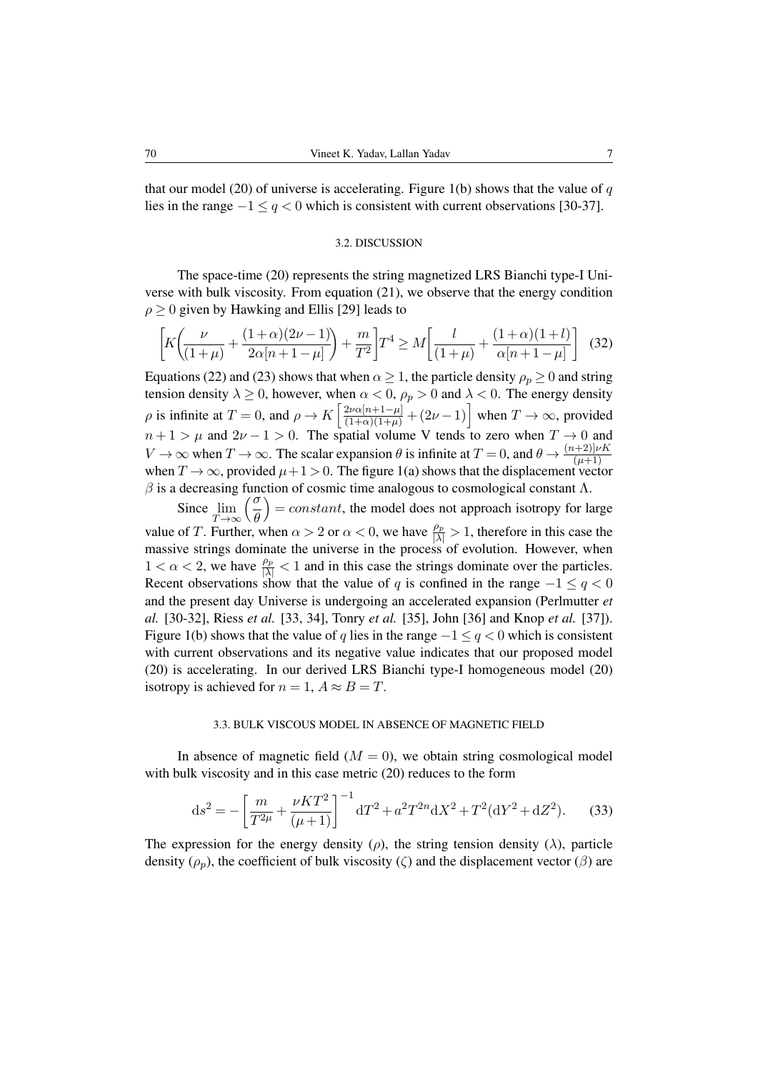that our model (20) of universe is accelerating. Figure 1(b) shows that the value of  $q$ lies in the range *−*1 *≤ q <* 0 which is consistent with current observations [30-37].

#### 3.2. DISCUSSION

The space-time (20) represents the string magnetized LRS Bianchi type-I Universe with bulk viscosity. From equation (21), we observe that the energy condition  $\rho$   $\geq$  0 given by Hawking and Ellis [29] leads to

$$
\left[ K \left( \frac{\nu}{(1+\mu)} + \frac{(1+\alpha)(2\nu - 1)}{2\alpha[n+1-\mu]} \right) + \frac{m}{T^2} \right] T^4 \ge M \left[ \frac{l}{(1+\mu)} + \frac{(1+\alpha)(1+l)}{\alpha[n+1-\mu]} \right] (32)
$$

Equations (22) and (23) shows that when  $\alpha \ge 1$ , the particle density  $\rho_p \ge 0$  and string tension density  $\lambda \geq 0$ , however, when  $\alpha < 0$ ,  $\rho_p > 0$  and  $\lambda < 0$ . The energy density *ρ* is infinite at  $T = 0$ , and  $\rho \to K \left[ \frac{2\nu\alpha[n+1-\mu]}{(1+\alpha)(1+\mu)} + (2\nu-1) \right]$  when  $T \to \infty$ , provided  $n+1 > \mu$  and  $2\nu - 1 > 0$ . The spatial volume V tends to zero when  $T \to 0$  and *V*  $\to \infty$  when  $T \to \infty$ . The scalar expansion  $\theta$  is infinite at  $T = 0$ , and  $\theta \to \frac{(n+2)[\nu K]}{(\mu+1)}$ when  $T \to \infty$ , provided  $\mu + 1 > 0$ . The figure 1(a) shows that the displacement vector  $\beta$  is a decreasing function of cosmic time analogous to cosmological constant  $\Lambda$ .

Since lim *T→∞ σ θ*  $= constant$ , the model does not approach isotropy for large value of *T*. Further, when  $\alpha > 2$  or  $\alpha < 0$ , we have  $\frac{\rho_p}{|\lambda|} > 1$ , therefore in this case the massive strings dominate the universe in the process of evolution. However, when  $1 < \alpha < 2$ , we have  $\frac{\rho_p}{|\lambda|} < 1$  and in this case the strings dominate over the particles. Recent observations show that the value of *q* is confined in the range  $-1 \le q < 0$ and the present day Universe is undergoing an accelerated expansion (Perlmutter *et al.* [30-32], Riess *et al.* [33, 34], Tonry *et al.* [35], John [36] and Knop *et al.* [37]). Figure 1(b) shows that the value of *q* lies in the range *−*1 *≤ q <* 0 which is consistent with current observations and its negative value indicates that our proposed model (20) is accelerating. In our derived LRS Bianchi type-I homogeneous model (20) isotropy is achieved for  $n = 1$ ,  $A \approx B = T$ .

#### 3.3. BULK VISCOUS MODEL IN ABSENCE OF MAGNETIC FIELD

In absence of magnetic field  $(M = 0)$ , we obtain string cosmological model with bulk viscosity and in this case metric (20) reduces to the form

$$
ds^{2} = -\left[\frac{m}{T^{2\mu}} + \frac{\nu KT^{2}}{(\mu + 1)}\right]^{-1} dT^{2} + a^{2}T^{2n}dX^{2} + T^{2}(dY^{2} + dZ^{2}).
$$
 (33)

The expression for the energy density ( $\rho$ ), the string tension density ( $\lambda$ ), particle density ( $\rho_p$ ), the coefficient of bulk viscosity ( $\zeta$ ) and the displacement vector ( $\beta$ ) are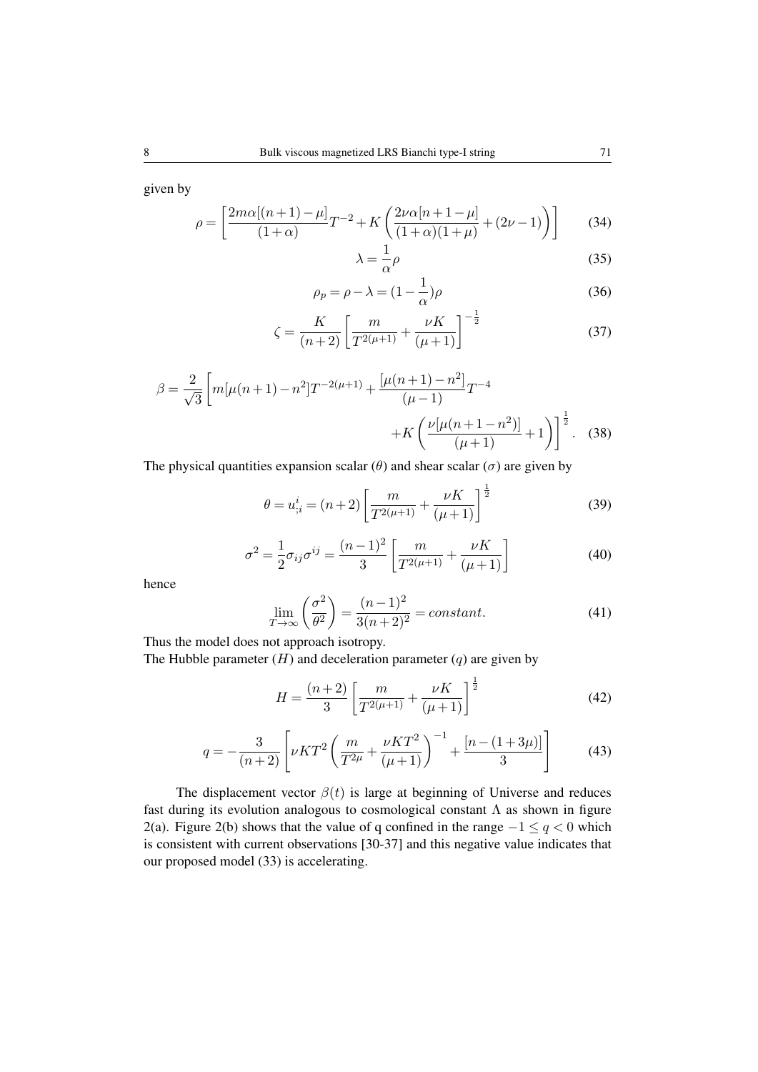given by

$$
\rho = \left[ \frac{2m\alpha[(n+1)-\mu]}{(1+\alpha)}T^{-2} + K\left(\frac{2\nu\alpha[n+1-\mu]}{(1+\alpha)(1+\mu)} + (2\nu - 1)\right) \right]
$$
(34)

$$
\lambda = \frac{1}{\alpha} \rho \tag{35}
$$

$$
\rho_p = \rho - \lambda = (1 - \frac{1}{\alpha})\rho \tag{36}
$$

$$
\zeta = \frac{K}{(n+2)} \left[ \frac{m}{T^{2(\mu+1)}} + \frac{\nu K}{(\mu+1)} \right]^{-\frac{1}{2}} \tag{37}
$$

$$
\beta = \frac{2}{\sqrt{3}} \left[ m[\mu(n+1) - n^2] T^{-2(\mu+1)} + \frac{[\mu(n+1) - n^2]}{(\mu-1)} T^{-4} + K \left( \frac{\nu[\mu(n+1 - n^2)]}{(\mu+1)} + 1 \right) \right]^{\frac{1}{2}}.
$$
 (38)

The physical quantities expansion scalar ( $\theta$ ) and shear scalar ( $\sigma$ ) are given by

$$
\theta = u_{;i}^{i} = (n+2) \left[ \frac{m}{T^{2(\mu+1)}} + \frac{\nu K}{(\mu+1)} \right]^{\frac{1}{2}}
$$
(39)

$$
\sigma^2 = \frac{1}{2}\sigma_{ij}\sigma^{ij} = \frac{(n-1)^2}{3} \left[ \frac{m}{T^{2(\mu+1)}} + \frac{\nu K}{(\mu+1)} \right]
$$
(40)

hence

$$
\lim_{T \to \infty} \left( \frac{\sigma^2}{\theta^2} \right) = \frac{(n-1)^2}{3(n+2)^2} = constant.
$$
\n(41)

Thus the model does not approach isotropy.

The Hubble parameter  $(H)$  and deceleration parameter  $(q)$  are given by

$$
H = \frac{(n+2)}{3} \left[ \frac{m}{T^{2(\mu+1)}} + \frac{\nu K}{(\mu+1)} \right]^{\frac{1}{2}}
$$
(42)

$$
q = -\frac{3}{(n+2)} \left[ \nu KT^2 \left( \frac{m}{T^{2\mu}} + \frac{\nu KT^2}{(\mu+1)} \right)^{-1} + \frac{[n - (1+3\mu)]}{3} \right]
$$
(43)

The displacement vector  $\beta(t)$  is large at beginning of Universe and reduces fast during its evolution analogous to cosmological constant  $\Lambda$  as shown in figure 2(a). Figure 2(b) shows that the value of q confined in the range *−*1 *≤ q <* 0 which is consistent with current observations [30-37] and this negative value indicates that our proposed model (33) is accelerating.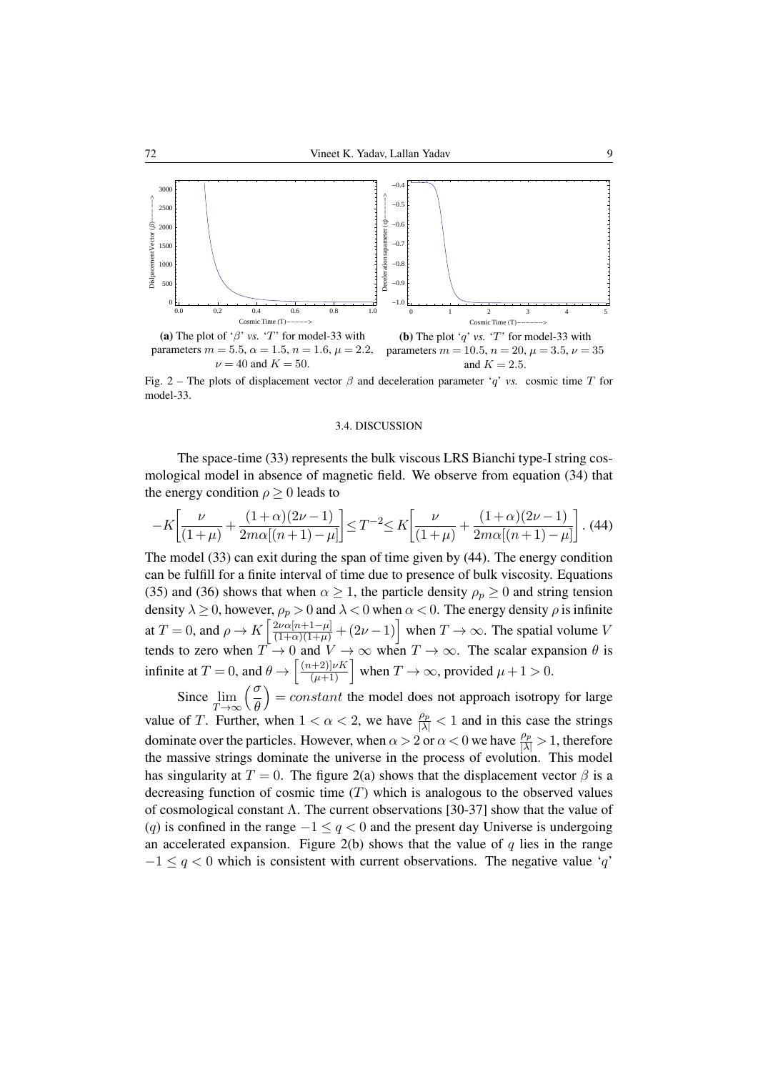

parameters  $m = 5.5$ ,  $\alpha = 1.5$ ,  $n = 1.6$ ,  $\mu = 2.2$ ,  $\nu = 40$  and  $K = 50$ . parameters  $m = 10.5$ ,  $n = 20$ ,  $\mu = 3.5$ ,  $\nu = 35$ and  $K = 2.5$ .

Fig. 2 – The plots of displacement vector  $\beta$  and deceleration parameter '*q*' *vs.* cosmic time *T* for model-33.

#### 3.4. DISCUSSION

The space-time (33) represents the bulk viscous LRS Bianchi type-I string cosmological model in absence of magnetic field. We observe from equation (34) that the energy condition  $\rho \geq 0$  leads to

$$
-K\left[\frac{\nu}{(1+\mu)} + \frac{(1+\alpha)(2\nu-1)}{2m\alpha[(n+1)-\mu]}\right] \le T^{-2} \le K\left[\frac{\nu}{(1+\mu)} + \frac{(1+\alpha)(2\nu-1)}{2m\alpha[(n+1)-\mu]}\right].
$$
 (44)

The model (33) can exit during the span of time given by (44). The energy condition can be fulfill for a finite interval of time due to presence of bulk viscosity. Equations (35) and (36) shows that when  $\alpha \geq 1$ , the particle density  $\rho_p \geq 0$  and string tension density  $\lambda \geq 0$ , however,  $\rho_p > 0$  and  $\lambda < 0$  when  $\alpha < 0$ . The energy density  $\rho$  is infinite at  $T = 0$ , and  $\rho \to K \left[ \frac{2\nu \alpha [n+1-\mu]}{(1+\alpha)(1+\mu)} + (2\nu - 1) \right]$  when  $T \to \infty$ . The spatial volume *V* tends to zero when  $T \to 0$  and  $V \to \infty$  when  $T \to \infty$ . The scalar expansion  $\theta$  is infinite at  $T = 0$ , and  $\theta \rightarrow \left[ \frac{(n+2)|\nu K}{(\mu+1)} \right]$  when  $T \rightarrow \infty$ , provided  $\mu + 1 > 0$ .

Since lim *T→∞ σ θ*  $= constant$  the model does not approach isotropy for large value of *T*. Further, when  $1 < \alpha < 2$ , we have  $\frac{\rho_p}{|\lambda|} < 1$  and in this case the strings dominate over the particles. However, when  $\alpha > 2$  or  $\alpha < 0$  we have  $\frac{\rho_p}{|\lambda|} > 1$ , therefore the massive strings dominate the universe in the process of evolution. This model has singularity at  $T = 0$ . The figure 2(a) shows that the displacement vector  $\beta$  is a decreasing function of cosmic time (*T*) which is analogous to the observed values of cosmological constant  $\Lambda$ . The current observations [30-37] show that the value of (*q*) is confined in the range *−*1 *≤ q <* 0 and the present day Universe is undergoing an accelerated expansion. Figure  $2(b)$  shows that the value of  $q$  lies in the range *−*1 *≤ q <* 0 which is consistent with current observations. The negative value '*q*'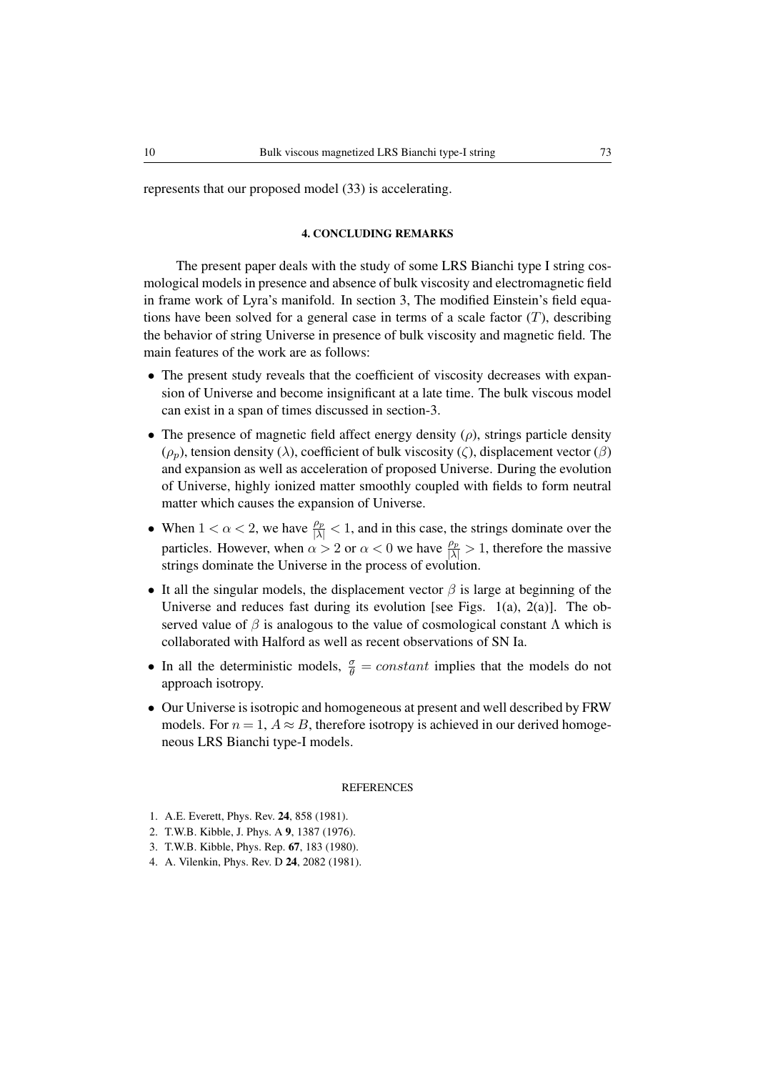represents that our proposed model (33) is accelerating.

## 4. CONCLUDING REMARKS

The present paper deals with the study of some LRS Bianchi type I string cosmological models in presence and absence of bulk viscosity and electromagnetic field in frame work of Lyra's manifold. In section 3, The modified Einstein's field equations have been solved for a general case in terms of a scale factor  $(T)$ , describing the behavior of string Universe in presence of bulk viscosity and magnetic field. The main features of the work are as follows:

- The present study reveals that the coefficient of viscosity decreases with expansion of Universe and become insignificant at a late time. The bulk viscous model can exist in a span of times discussed in section-3.
- *•* The presence of magnetic field affect energy density (*ρ*), strings particle density (*ρp*), tension density (*λ*), coefficient of bulk viscosity (*ζ*), displacement vector (*β*) and expansion as well as acceleration of proposed Universe. During the evolution of Universe, highly ionized matter smoothly coupled with fields to form neutral matter which causes the expansion of Universe.
- When  $1 < \alpha < 2$ , we have  $\frac{\rho_p}{|\lambda|} < 1$ , and in this case, the strings dominate over the particles. However, when  $\alpha > 2$  or  $\alpha < 0$  we have  $\frac{\rho_p}{|\lambda|} > 1$ , therefore the massive strings dominate the Universe in the process of evolution.
- *•* It all the singular models, the displacement vector *β* is large at beginning of the Universe and reduces fast during its evolution [see Figs. 1(a), 2(a)]. The observed value of  $\beta$  is analogous to the value of cosmological constant  $\Lambda$  which is collaborated with Halford as well as recent observations of SN Ia.
- In all the deterministic models,  $\frac{\sigma}{\theta} = constant$  implies that the models do not approach isotropy.
- *•* Our Universe is isotropic and homogeneous at present and well described by FRW models. For  $n = 1$ ,  $A \approx B$ , therefore isotropy is achieved in our derived homogeneous LRS Bianchi type-I models.

## **REFERENCES**

- 1. A.E. Everett, Phys. Rev. 24, 858 (1981).
- 2. T.W.B. Kibble, J. Phys. A 9, 1387 (1976).
- 3. T.W.B. Kibble, Phys. Rep. 67, 183 (1980).
- 4. A. Vilenkin, Phys. Rev. D 24, 2082 (1981).